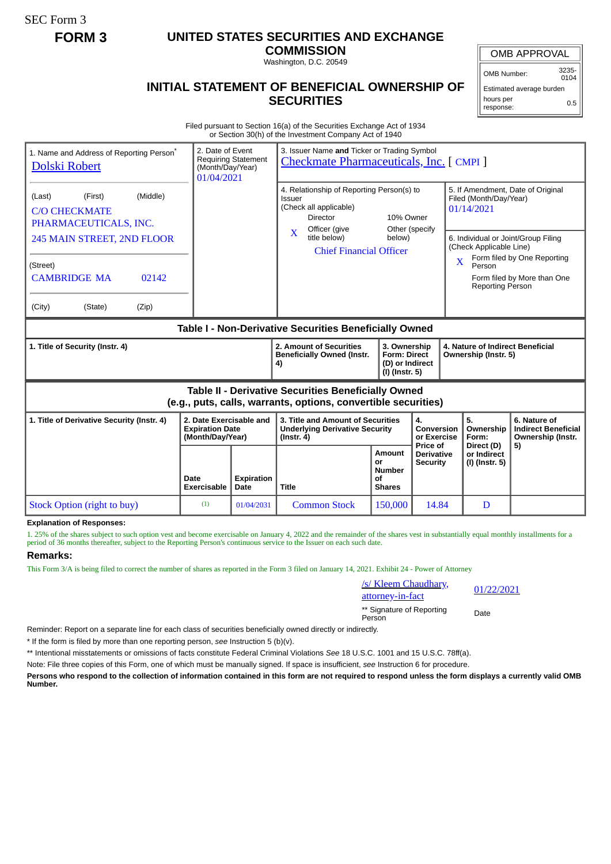SEC Form 3

## **FORM 3 UNITED STATES SECURITIES AND EXCHANGE**

**COMMISSION** Washington, D.C. 20549

OMB APPROVAL

OMB Number: 3235- 0104

## **INITIAL STATEMENT OF BENEFICIAL OWNERSHIP OF SECURITIES**

Estimated average burden hours per response: 0.5

Filed pursuant to Section 16(a) of the Securities Exchange Act of 1934 or Section 30(h) of the Investment Company Act of 1940

| 1. Name and Address of Reporting Person <sup>®</sup><br>Dolski Robert                                                 | 2. Date of Event<br>(Month/Day/Year)<br>01/04/2021                    | <b>Requiring Statement</b> | 3. Issuer Name and Ticker or Trading Symbol<br>Checkmate Pharmaceuticals, Inc. [CMPI]                             |                                                                          |                                             |                                                                                                               |                                                                       |  |
|-----------------------------------------------------------------------------------------------------------------------|-----------------------------------------------------------------------|----------------------------|-------------------------------------------------------------------------------------------------------------------|--------------------------------------------------------------------------|---------------------------------------------|---------------------------------------------------------------------------------------------------------------|-----------------------------------------------------------------------|--|
| (Middle)<br>(First)<br>(Last)<br><b>C/O CHECKMATE</b><br>PHARMACEUTICALS, INC.                                        |                                                                       |                            | 4. Relationship of Reporting Person(s) to<br>Issuer<br>(Check all applicable)<br><b>Director</b><br>Officer (give | 10% Owner<br>Other (specify                                              |                                             | 5. If Amendment, Date of Original<br>Filed (Month/Day/Year)<br>01/14/2021                                     |                                                                       |  |
| 245 MAIN STREET, 2ND FLOOR                                                                                            |                                                                       |                            | $\mathbf{X}$<br>title below)<br><b>Chief Financial Officer</b>                                                    | below)                                                                   |                                             | 6. Individual or Joint/Group Filing<br>(Check Applicable Line)<br>Form filed by One Reporting<br>$\mathbf{X}$ |                                                                       |  |
| (Street)<br><b>CAMBRIDGE MA</b><br>02142                                                                              |                                                                       |                            |                                                                                                                   |                                                                          |                                             | Person<br><b>Reporting Person</b>                                                                             | Form filed by More than One                                           |  |
| (City)<br>(State)<br>(Zip)                                                                                            |                                                                       |                            |                                                                                                                   |                                                                          |                                             |                                                                                                               |                                                                       |  |
| Table I - Non-Derivative Securities Beneficially Owned                                                                |                                                                       |                            |                                                                                                                   |                                                                          |                                             |                                                                                                               |                                                                       |  |
| 1. Title of Security (Instr. 4)                                                                                       |                                                                       |                            | 2. Amount of Securities<br><b>Beneficially Owned (Instr.</b><br>4)                                                | 3. Ownership<br><b>Form: Direct</b><br>(D) or Indirect<br>(I) (Instr. 5) |                                             | 4. Nature of Indirect Beneficial<br>Ownership (Instr. 5)                                                      |                                                                       |  |
| Table II - Derivative Securities Beneficially Owned<br>(e.g., puts, calls, warrants, options, convertible securities) |                                                                       |                            |                                                                                                                   |                                                                          |                                             |                                                                                                               |                                                                       |  |
| 1. Title of Derivative Security (Instr. 4)                                                                            | 2. Date Exercisable and<br><b>Expiration Date</b><br>(Month/Day/Year) |                            | 3. Title and Amount of Securities<br><b>Underlying Derivative Security</b><br>$($ lnstr. 4 $)$                    |                                                                          | 4.<br>Conversion<br>or Exercise<br>Price of | 5.<br>Ownership<br>Form:<br>Direct (D)                                                                        | 6. Nature of<br><b>Indirect Beneficial</b><br>Ownership (Instr.<br>5) |  |
|                                                                                                                       | Date<br>Exercisable                                                   | <b>Expiration</b><br>Date  | <b>Title</b>                                                                                                      | Amount<br>or<br><b>Number</b><br>οf<br><b>Shares</b>                     | <b>Derivative</b><br><b>Security</b>        | or Indirect<br>(I) (Instr. 5)                                                                                 |                                                                       |  |
| Stock Option (right to buy)                                                                                           | (1)                                                                   | 01/04/2031                 | <b>Common Stock</b>                                                                                               | 150,000                                                                  | 14.84                                       | D                                                                                                             |                                                                       |  |

**Explanation of Responses:**

1. 25% of the shares subject to such option vest and become exercisable on January 4, 2022 and the remainder of the shares vest in substantially equal monthly installments for a period of 36 months thereafter, subject to the Reporting Person's continuous service to the Issuer on each such date.

## **Remarks:**

This Form 3/A is being filed to correct the number of shares as reported in the Form 3 filed on January 14, 2021. Exhibit 24 - Power of Attorney

| /s/ Kleem Chaudhary,                | 01/2 |  |
|-------------------------------------|------|--|
| attorney-in-fact                    |      |  |
| ** Signature of Reporting<br>Person | Date |  |

01/22/2021

Reminder: Report on a separate line for each class of securities beneficially owned directly or indirectly.

\* If the form is filed by more than one reporting person, *see* Instruction 5 (b)(v).

\*\* Intentional misstatements or omissions of facts constitute Federal Criminal Violations *See* 18 U.S.C. 1001 and 15 U.S.C. 78ff(a).

Note: File three copies of this Form, one of which must be manually signed. If space is insufficient, *see* Instruction 6 for procedure.

**Persons who respond to the collection of information contained in this form are not required to respond unless the form displays a currently valid OMB Number.**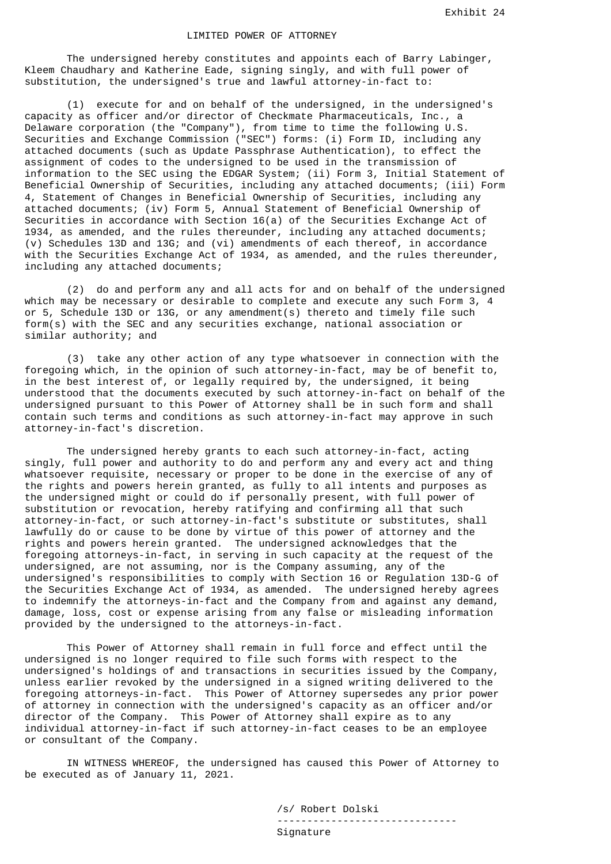The undersigned hereby constitutes and appoints each of Barry Labinger, Kleem Chaudhary and Katherine Eade, signing singly, and with full power of substitution, the undersigned's true and lawful attorney-in-fact to:

 (1) execute for and on behalf of the undersigned, in the undersigned's capacity as officer and/or director of Checkmate Pharmaceuticals, Inc., a Delaware corporation (the "Company"), from time to time the following U.S. Securities and Exchange Commission ("SEC") forms: (i) Form ID, including any attached documents (such as Update Passphrase Authentication), to effect the assignment of codes to the undersigned to be used in the transmission of information to the SEC using the EDGAR System; (ii) Form 3, Initial Statement of Beneficial Ownership of Securities, including any attached documents; (iii) Form 4, Statement of Changes in Beneficial Ownership of Securities, including any attached documents; (iv) Form 5, Annual Statement of Beneficial Ownership of Securities in accordance with Section 16(a) of the Securities Exchange Act of 1934, as amended, and the rules thereunder, including any attached documents; (v) Schedules 13D and 13G; and (vi) amendments of each thereof, in accordance with the Securities Exchange Act of 1934, as amended, and the rules thereunder, including any attached documents;

 (2) do and perform any and all acts for and on behalf of the undersigned which may be necessary or desirable to complete and execute any such Form 3, 4 or 5, Schedule 13D or 13G, or any amendment(s) thereto and timely file such form(s) with the SEC and any securities exchange, national association or similar authority; and

 (3) take any other action of any type whatsoever in connection with the foregoing which, in the opinion of such attorney-in-fact, may be of benefit to, in the best interest of, or legally required by, the undersigned, it being understood that the documents executed by such attorney-in-fact on behalf of the undersigned pursuant to this Power of Attorney shall be in such form and shall contain such terms and conditions as such attorney-in-fact may approve in such attorney-in-fact's discretion.

 The undersigned hereby grants to each such attorney-in-fact, acting singly, full power and authority to do and perform any and every act and thing whatsoever requisite, necessary or proper to be done in the exercise of any of the rights and powers herein granted, as fully to all intents and purposes as the undersigned might or could do if personally present, with full power of substitution or revocation, hereby ratifying and confirming all that such attorney-in-fact, or such attorney-in-fact's substitute or substitutes, shall lawfully do or cause to be done by virtue of this power of attorney and the rights and powers herein granted. The undersigned acknowledges that the foregoing attorneys-in-fact, in serving in such capacity at the request of the undersigned, are not assuming, nor is the Company assuming, any of the undersigned's responsibilities to comply with Section 16 or Regulation 13D-G of the Securities Exchange Act of 1934, as amended. The undersigned hereby agrees to indemnify the attorneys-in-fact and the Company from and against any demand, damage, loss, cost or expense arising from any false or misleading information provided by the undersigned to the attorneys-in-fact.

 This Power of Attorney shall remain in full force and effect until the undersigned is no longer required to file such forms with respect to the undersigned's holdings of and transactions in securities issued by the Company, unless earlier revoked by the undersigned in a signed writing delivered to the foregoing attorneys-in-fact. This Power of Attorney supersedes any prior power of attorney in connection with the undersigned's capacity as an officer and/or director of the Company. This Power of Attorney shall expire as to any individual attorney-in-fact if such attorney-in-fact ceases to be an employee or consultant of the Company.

 IN WITNESS WHEREOF, the undersigned has caused this Power of Attorney to be executed as of January 11, 2021.

> /s/ Robert Dolski ------------------------------ Signature